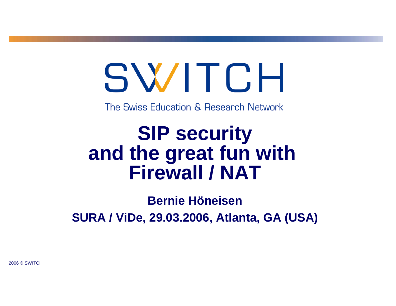# SWITCH

The Swiss Education & Research Network

# **SIP security and the great fun with Firewall / NAT**

**Bernie HöneisenSURA / ViDe, 29.03.2006, Atlanta, GA (USA)**

2006 © SWITCH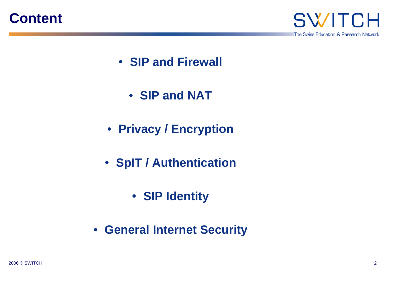



- **SIP and Firewall**
	- **SIP and NAT**
- **Privacy / Encryption**
- **SpIT / Authentication**
	- **SIP Identity**
- **General Internet Security**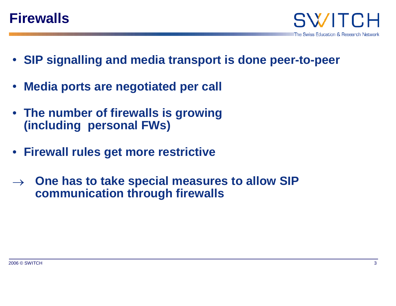#### **Firewalls**

- **SIP signalling and media transport is done peer-to-peer**
- •**Media ports are negotiated per call**
- **The number of firewalls is growing (including personal FWs)**
- **Firewall rules get more restrictive**
- <sup>→</sup> **One has to take special measures to allow SIP communication through firewalls**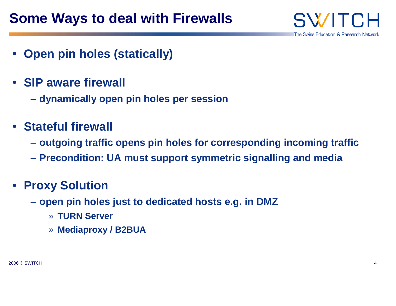SW/ The Swiss Education & Research Network

- **Open pin holes (statically)**
- **SIP aware firewall**
	- **dynamically open pin holes per session**
- **Stateful firewall**
	- **outgoing traffic opens pin holes for corresponding incoming traffic**
	- **Precondition: UA must support symmetric signalling and media**

#### • **Proxy Solution**

- **open pin holes just to dedicated hosts e.g. in DMZ**
	- » **TURN Server**
	- » **Mediaproxy / B2BUA**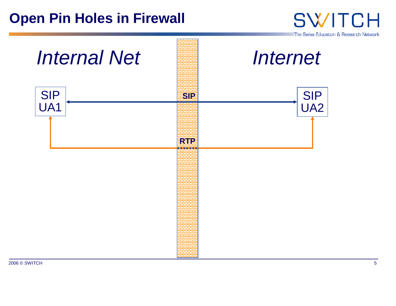#### **Open Pin Holes in Firewall**



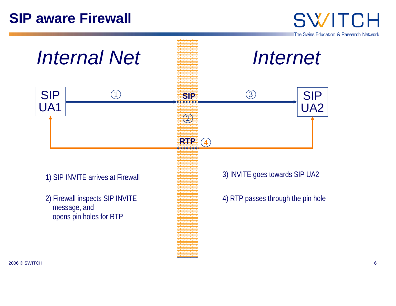#### **SIP aware Firewall**

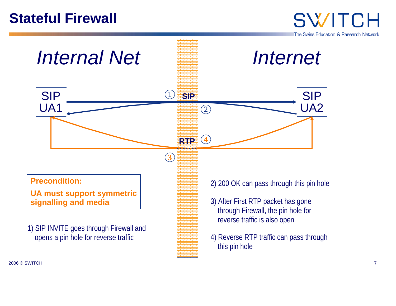#### **Stateful Firewall**

SWITCH The Swiss Education & Research Network



H and the contract of the contract of the contract of the contract of the contract of the contract of the contract of the contract of the contract of the contract of the contract of the contract of the contract of the cont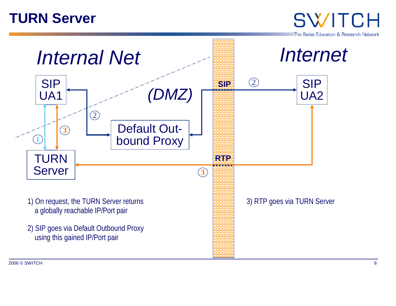#### **TURN Server**

The Swiss Education & Research Network

SWITCH



2006 © SWITCHH and the contract of the contract of the contract of the contract of the contract of the contract of the contract of the contract of the contract of the contract of the contract of the contract of the contract of the cont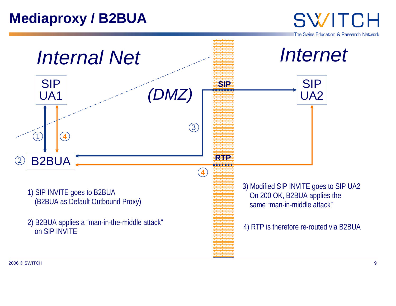#### **Mediaproxy / B2BUA**

The Swiss Education & Research Network

SWITCH



2006 © SWITCHн на организација и се од 1992. године на организацијата на 1993 године и се од 1993 године и 1993 године и 19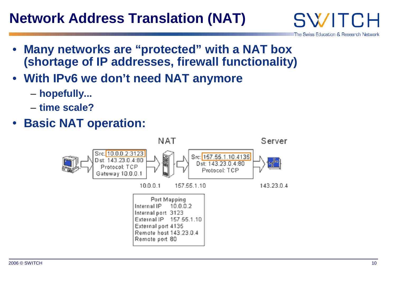### **Network Address Translation (NAT)**

- • **Many networks are "protected" with a NAT box (shortage of IP addresses, firewall functionality)**
- **With IPv6 we don't need NAT anymore**
	- **hopefully...**
	- **time scale?**
- **Basic NAT operation:**



SWITC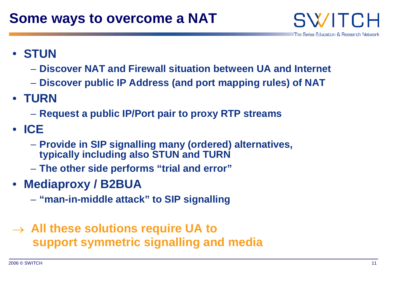

- **STUN**
	- **Discover NAT and Firewall situation between UA and Internet**
	- **Discover public IP Address (and port mapping rules) of NAT**
- **TURN**
	- **Request a public IP/Port pair to proxy RTP streams**
- **ICE**
	- **Provide in SIP signalling many (ordered) alternatives, typically including also STUN and TURN**
	- **The other side performs "trial and error"**
- **Mediaproxy / B2BUA**
	- **"man-in-middle attack" to SIP signalling**
- <sup>→</sup> **All these solutions require UA to support symmetric signalling and media**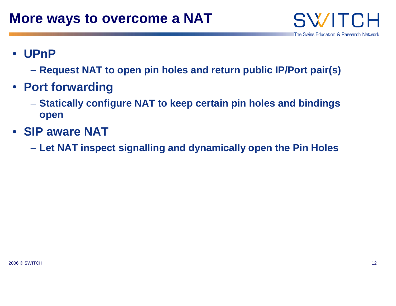

- • **UPnP**
	- **Request NAT to open pin holes and return public IP/Port pair(s)**
- **Port forwarding**
	- **Statically configure NAT to keep certain pin holes and bindings open**
- **SIP aware NAT**
	- **Let NAT inspect signalling and dynamically open the Pin Holes**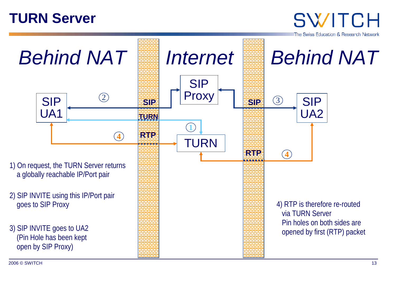#### **TURN Server**

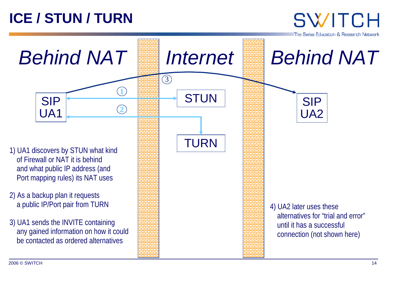## **ICE / STUN / TURN**

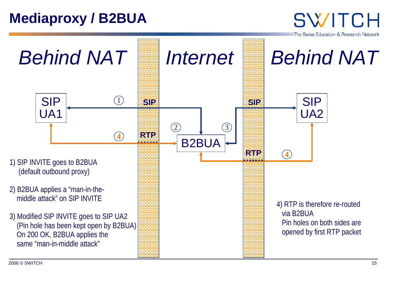#### **Mediaproxy / B2BUA**

The Swiss Education & Research Network

**SWITCH** 



2006 © SWITCHH and the contract of the contract of the contract of the contract of the contract of the contract of the contract of the contract of the contract of the contract of the contract of the contract of the contract of the cont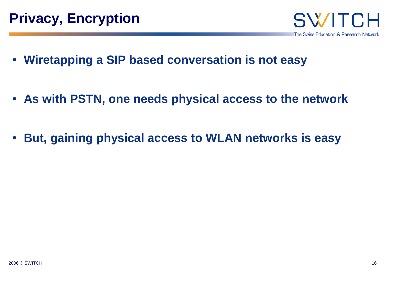

- **Wiretapping a SIP based conversation is not easy**
- **As with PSTN, one needs physical access to the network**
- $\bullet$ **But, gaining physical access to WLAN networks is easy**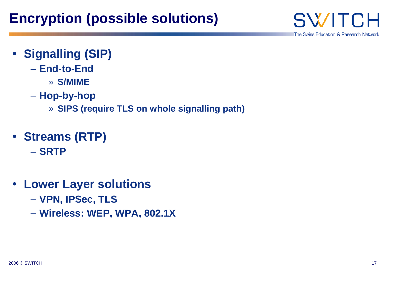**SWITCH** 

- **Signalling (SIP)**
	- **End-to-End**
		- » **S/MIME**
	- **Hop-by-hop**
		- » **SIPS (require TLS on whole signalling path)**
- **Streams (RTP)**
	- **SRTP**
- **Lower Layer solutions**
	- **VPN, IPSec, TLS**
	- **Wireless: WEP, WPA, 802.1X**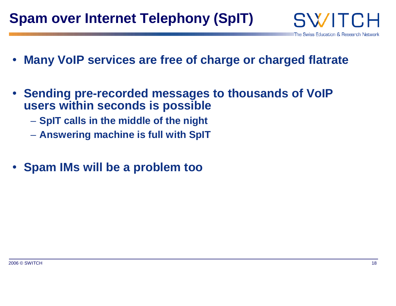- •**Many VoIP services are free of charge or charged flatrate**
- **Sending pre-recorded messages to thousands of VoIP users within seconds is possible**
	- $-$  SpIT calls in the middle of the night
	- **Answering machine is full with SpIT**
- **Spam IMs will be a problem too**

SWITC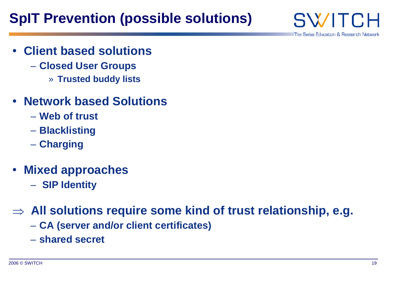### **SpIT Prevention (possible solutions)**

SWITE The Swiss Education & Research Network

- • **Client based solutions**
	- **Closed User Groups**
		- » **Trusted buddy lists**
- **Network based Solutions**
	- **Web of trust**
	- **Blacklisting**
	- **Charging**
- **Mixed approaches**
	- – **SIP Identity**

<sup>⇒</sup> **All solutions require some kind of trust relationship, e.g.**

- **CA (server and/or client certificates)**
- **shared secret**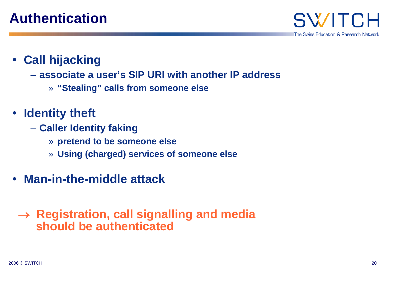

- **Call hijacking**
	- **associate a user's SIP URI with another IP address**
		- » **"Stealing" calls from someone else**
- **Identity theft** 
	- **Caller Identity faking**
		- » **pretend to be someone else**
		- » **Using (charged) services of someone else**
- **Man-in-the-middle attack**

#### <sup>→</sup> **Registration, call signalling and media should be authenticated**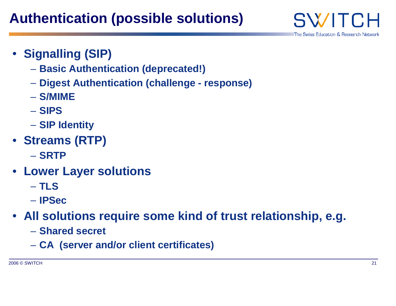The Swiss Education & Research Network

SWITE

- **Signalling (SIP)**
	- **Basic Authentication (deprecated!)**
	- **Digest Authentication (challenge response)**
	- **S/MIME**
	- **SIPS**
	- **SIP Identity**
- **Streams (RTP)**
	- **SRTP**
- **Lower Layer solutions**
	- **TLS**
	- **IPSec**
- **All solutions require some kind of trust relationship, e.g.**
	- **Shared secret**
	- **CA (server and/or client certificates)**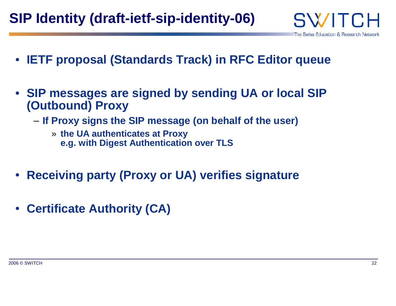- **IETF proposal (Standards Track) in RFC Editor queue**
- **SIP messages are signed by sending UA or local SIP (Outbound) Proxy**
	- **If Proxy signs the SIP message (on behalf of the user)**
		- » **the UA authenticates at Proxy e.g. with Digest Authentication over TLS**
- **Receiving party (Proxy or UA) verifies signature**
- •**Certificate Authority (CA)**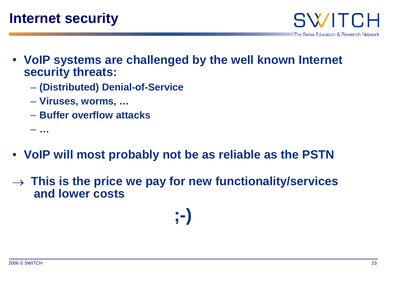SWITE The Swiss Education & Research Network

- **VoIP systems are challenged by the well known Internet security threats:**
	- **(Distributed) Denial-of-Service**
	- **Viruses, worms, …**
	- **Buffer overflow attacks**
	- **…**
- **VoIP will most probably not be as reliable as the PSTN**
- <sup>→</sup> **This is the price we pay for new functionality/services and lower costs**

**;-)**